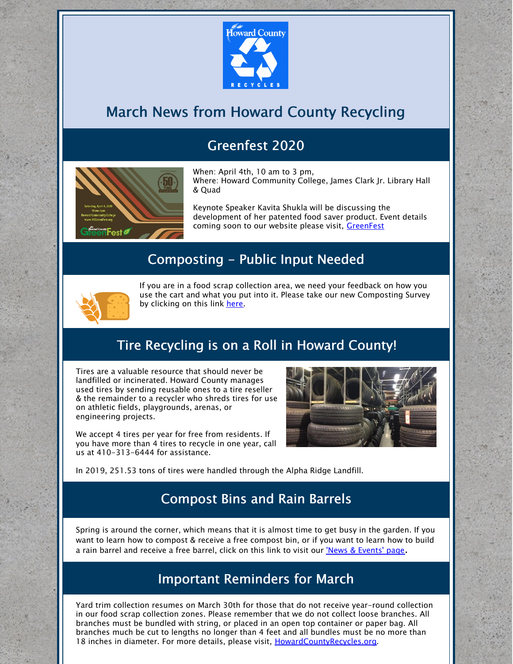

## March News from Howard County Recycling

### Greenfest 2020



When: April 4th, 10 am to 3 pm, Where: Howard Community College, James Clark Jr. Library Hall & Quad

Keynote Speaker Kavita Shukla will be discussing the development of her patented food saver product. Event details coming soon to our website please visit, [GreenFest](https://www.howardcountymd.gov/Departments/County-Administration/Community-Sustainability/Greenfest)

#### Composting - Public Input Needed



If you are in a food scrap collection area, we need your feedback on how you use the cart and what you put into it. Please take our new Composting Survey by clicking on this link [here](https://form.jotform.com/200274227314041).

#### Tire Recycling is on a Roll in Howard County!

Tires are a valuable resource that should never be landfilled or incinerated. Howard County manages used tires by sending reusable ones to a tire reseller & the remainder to a recycler who shreds tires for use on athletic fields, playgrounds, arenas, or engineering projects.

We accept 4 tires per year for free from residents. If you have more than 4 tires to recycle in one year, call us at 410-313-6444 for assistance.



In 2019, 251.53 tons of tires were handled through the Alpha Ridge Landfill.

#### Compost Bins and Rain Barrels

Spring is around the corner, which means that it is almost time to get busy in the garden. If you want to learn how to compost & receive a free compost bin, or if you want to learn how to build a rain barrel and receive a free barrel, click on this link to visit our 'News & [Events'](https://www.howardcountymd.gov/Departments/Public-Works/Bureau-Of-Environmental-Services/News-and-Upcoming-Events) page.

#### Important Reminders for March

Yard trim collection resumes on March 30th for those that do not receive year-round collection in our food scrap collection zones. Please remember that we do not collect loose branches. All branches must be bundled with string, or placed in an open top container or paper bag. All branches much be cut to lengths no longer than 4 feet and all bundles must be no more than 18 inches in diameter. For more details, please visit, [HowardCountyRecycles.org](https://www.howardcountymd.gov/Departments/Public-Works/Bureau-Of-Environmental-Services/Recycling).